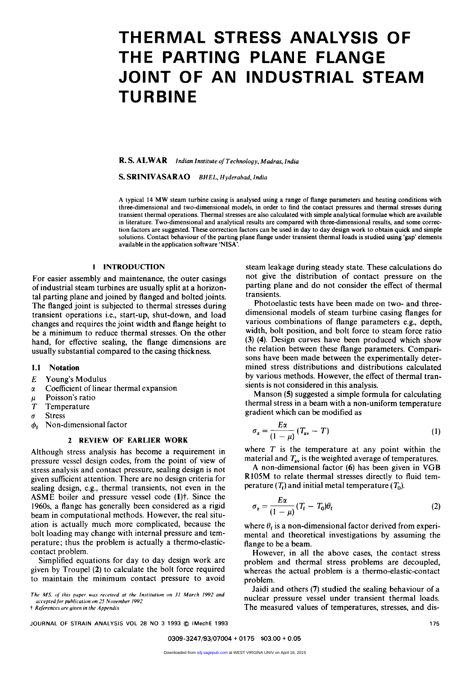# **THERMAL STRESS ANALYSIS OF THE PARTING PLANE FLANGE JOINT OF AN INDUSTRIAL STEAM**  THERMAL STRESS ANALYSIS OF<br>THE PARTING PLANE FLANGE<br>JOINT OF AN INDUSTRIAL STEAM<br>TURBINE

**R. s. ALWAR R. S. ALWAR** *Indian Institute of Technology, Madras, India*<br>**S. SRINIVASARAO** *BHEL, Hyderabad, India Indian Institute of Technology, Madras, India* $\overline{P}$ 

A typical **14** MW steam turbine casing is analysed using a range of flange parameters and heating conditions with three-dimensional and two-dimensional models, in order to find the contact pressures and thermal stresses during transient thermal operations. Thermal stresses are also calculated with simple analytical formulae which are available in literature. Two-dimensional and analytical results are compared with three-dimensional results, and some correction factors are suggested. These correction factors can be used in day to day design work to obtain quick and simple solutions. Contact behaviour of the parting plane flange under transient thermal loads is studied using 'gap' elements available in the application software 'NISA'.

#### **1 INTRODUCTION**

For easier assembly and maintenance, the outer casings of industrial steam turbines are usually split at a horizontal parting plane and joined by flanged and bolted joints. The flanged joint is subjected to thermal stresses during transient operations i.e., start-up, shut-down, and load changes and requires the joint width and flange height to be a minimum to reduce thermal stresses. On the other hand, for effective sealing, the flange dimensions are usually substantial compared to the casing thickness.

### **1.1**  Notation

- **E**  Young's Modulus
- **a**  Coefficient of linear thermal expansion
- **p**
- *T* Temperature
- **0**  Stress
- $\phi_f$  Non-dimensional factor

# **2 REVIEW OF EARLIER WORK**

Although stress analysis has become a requirement in pressure vessel design codes, from the point of view of stress analysis and contact pressure, sealing design is not given sufficient attention. There are no design criteria for sealing design, e.g., thermal transients, not even in the ASME boiler and pressure vessel code (1)<sup>†</sup>. Since the **1960s,** a flange has generally been considered as a rigid beam in computational methods. However, the real situation is actually much more complicated, because the bolt loading may change with internal pressure and temperature; thus the problem is actually a thermo-elasticcontact problem.

Simplified equations for day to day design work are given by Troupe1 **(2)** to calculate the bolt force required to maintain the minimum contact pressure to avoid

**The MS. o/ rhis puper wus received ut rhe Insrirurion on 31 March 1992 and uccepredlor puhlicurion** *on* **25 Nowernher 1992** 

 $\dagger$  *References are given in the Appendix* 

**JOURNAL OF STRAIN ANALYSIS VOL 28 NO 3 1993** 

steam leakage during steady state. These calculations do not give the distribution of contact pressure on the parting plane and do not consider the effect of thermal transients.

Frations i.e., start-up, shut-down, and load<br>
requires the joint width and flange height to<br>
requires the joint width and flange height to<br>
m to reduce thermal stresses. On the other<br>
m to reduce thermal stresses. On the o For effective sealing, the flange dimensions are<br>
Illy substantial compared to the casing thickness.<br>
Illy substantial compared to the casing thickness.<br>
Illy substantial compared to the casing thickness.<br>
Substantial comp Photoelastic tests have been made on two- and threedimensional models of steam turbine casing flanges for various combinations of flange parameters e.g., depth, width, bolt position, and bolt force to steam force ratio **(3) (4).** Design curves have been produced which show the relation between these flange parameters. Comparisons have been made between the experimentally determined stress distributions and distributions calculated by various methods. However, the effect of thermal transients is not considered in this analysis.

Manson **(5)** suggested a simple formula for calculating thermal stress in a beam with a non-uniform temperature gradient which can be modified as

$$
\sigma_z = \frac{E\alpha}{(1-\mu)} (T_{\rm av} - T) \tag{1}
$$

where *T* is the temperature at any point within the material and  $T_{av}$  is the weighted average of temperatures.

A non-dimensional factor **(6)** has been given in **VGB**  R105M to relate thermal stresses directly to fluid temperature  $(T_f)$  and initial metal temperature  $(T_0)$ .

$$
\sigma_z = \frac{E\alpha}{(1-\mu)} (T_{\rm f} - T_0)\theta_{\rm f}
$$
 (2)

where  $\theta_f$  is a non-dimensional factor derived from experimental and theoretical investigations by assuming the flange to be a beam.

However, in all the above cases, the contact stress problem and thermal stress problems are decoupled, whereas the actual problem is a thermo-elastic-contact problem.

Jaidi and others **(7)** studied the sealing behaviour of a nuclear pressure vessel under transient thermal loads. The measured values of temperatures, stresses, and disre to avoid<br>
yaidi and others (7) studied the sealing behaviour of a<br>
muclear pressure vessel under transient thermal loads.<br>
The measured values of temperatures, stresses, and dis-<br>
© IMechE 1993<br>
175 **175**<br>**175**<br>175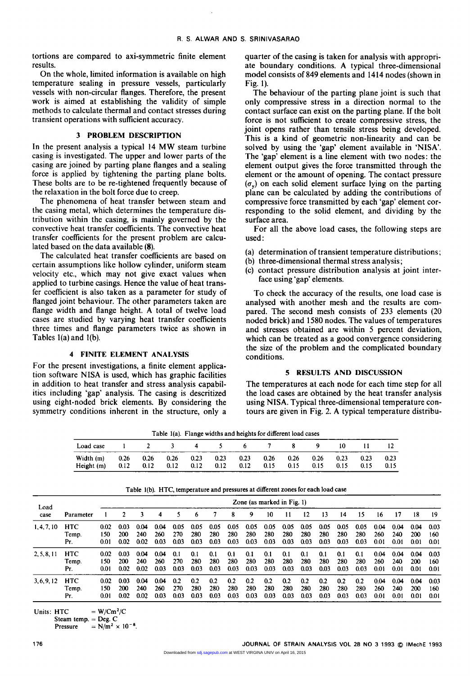tortions are compared to axi-symmetric finite element results.

On the whole, limited information is available on high temperature sealing in pressure vessels, particularly vessels with non-circular flanges. Therefore, the present work is aimed at establishing the validity of simple methods to calculate thermal and contact stresses during transient operations with sufficient accuracy.

#### **3 PROBLEM DESCRIPTION**

In the present analysis a typical 14 MW steam turbine casing is investigated. The upper and lower parts of the casing are joined by parting plane flanges and a sealing force is applied by tightening the parting plane bolts. These bolts are to be re-tightened frequently because of the relaxation in the bolt force due to creep.

The phenomena of heat transfer between steam and the casing metal, which determines the temperature distribution within the casing, is mainly governed by the convective heat transfer coefficients. The convective heat transfer coefficients for the present problem are calculated based on the data available (8).

The calculated heat transfer coefficients are based on certain assumptions like hollow cylinder, uniform steam velocity etc., which may not give exact values when applied to turbine casings. Hence the value of heat transfer coefficient is also taken as **a** parameter for study of flanged joint behaviour. The other parameters taken are flange width and flange height. **A** total of twelve load cases are studied by varying heat transfer coefficients three times and flange parameters twice as shown in Tables  $1(a)$  and  $1(b)$ .

# **4 FINITE ELEMENT ANALYSIS**

For the present investigations, a finite element application software **NISA** is used, which has graphic facilities in addition to heat transfer and stress analysis capabilities including 'gap' analysis. The casing is descritized using eight-noded brick elements. By considering the symmetry conditions inherent in the structure, only a quarter of the casing is taken for analysis with appropriate boundary conditions. **A** typical three-dimensional model consists of **849** elements and 1414 nodes (shown in Fig. 1).

The element quarter of the casing is taken for analysis with appropri-<br>ate boundary conditions. A typical three-dimensional<br>particularly<br>Fig. 1).<br>the present The behaviour of the parting plane joint is such that<br>only compr The behaviour of the parting plane joint is such that only compressive stress in a direction normal to the contact surface can exist on the parting plane. If the bolt force is not sufficient to create compressive stress, the joint opens rather than tensile stress being developed. This is a kind of geometric non-linearity and can be solved by using the 'gap' element available in **'NISA'.**  The 'gap' element is a line element with two nodes: the element output gives the force transmitted through the element or the amount of opening. The contact pressure  $(\sigma_{\rm v})$  on each solid element surface lying on the parting plane can be calculated by adding the contributions of **z**<br>d.<br>a<br>me<br>pe<br>pe<br>of compressive force transmitted by each 'gap' element corresponding to the solid element, and dividing by the surface area. element or the amount of opening. The contact pressure  $(\sigma_y)$  on each solid element surface lying on the parting plane can be calculated by adding the contributions of compressive force transmitted by each 'gap' element c

For all the above load cases, the following steps are

- (a) determination of transient temperature distributions;
- (b) three-dimensional thermal stress analysis;
- (c) contact pressure distribution analysis at joint interface using 'gap' elements.

To check the accuracy of the results, one load case is analysed with another mesh and the results are compared. The second mesh consists of 233 elements (20 noded brick) and 1580 nodes. The values of temperatures and stresses obtained are within 5 percent deviation, (c) contact pressure distribution analysis at joint inter-<br>face using 'gap' elements.<br>To check the accuracy of the results, one load case is<br>analysed with another mesh and the results are com-<br>pared. The second mesh consis which can be treated as a good convergence considering the size of the problem and the complicated boundary conditions.

# **5 RESULTS AND DISCUSSION**

The temperatures at each node for each time step for all the load cases are obtained by the heat transfer analysis using **NISA.** Typical three-dimensional temperature contours are given in Fig. 2. **A** typical temperature distribu-

|                         |              |              | Table 1(a). Trange widths and neights for different load cases |              |              |              |              |              |              |              |              |              |
|-------------------------|--------------|--------------|----------------------------------------------------------------|--------------|--------------|--------------|--------------|--------------|--------------|--------------|--------------|--------------|
| Load case               |              | 2            | $\sim$ 3 $\sim$                                                |              | $\sim$ 5     |              | 67           | ×            |              | 10           | 11.          |              |
| Width (m)<br>Height (m) | 0.26<br>0.12 | 0.26<br>0.12 | 0.26<br>0.12                                                   | 0.23<br>0.12 | 0.23<br>0.12 | 0.23<br>0.12 | 0.26<br>0.15 | 0.26<br>0.15 | 0.26<br>0.15 | 0.23<br>0.15 | 0.23<br>0.15 | 0.23<br>0.15 |

**Table lla). Flange widths and heights for different load cases** 

|             |            |      |      |      |      |      |          |      |      | Table 1(b). HTC, temperature and pressures at different zones for each load case |      |      |      |      |      |      |      |      |      |      |
|-------------|------------|------|------|------|------|------|----------|------|------|----------------------------------------------------------------------------------|------|------|------|------|------|------|------|------|------|------|
| Load        |            |      |      |      |      |      |          |      |      | Zone (as marked in Fig. 1)                                                       |      |      |      |      |      |      |      |      |      |      |
| case        | Parameter  |      |      | 3    | 4    | 5    | <b>b</b> |      | 8    | 9                                                                                | 10   | 11   | 12   | 13   | 14   | 15   | 16   | 17   | 18   | 19   |
| 1, 4, 7, 10 | <b>HTC</b> | 0.02 | 0.03 | 0.04 | 0.04 | 0.05 | 0.05     | 0.05 | 0.05 | 0.05                                                                             | 0.05 | 0.05 | 0.05 | 0.05 | 0.05 | 0.05 | 0.04 | 0.04 | 0.04 | 0.03 |
|             | Temp.      | 150  | 200  | 240  | 260  | 270  | 280      | 280  | 280  | 280                                                                              | 280  | 280  | 280  | 280  | 280  | 280  | 260  | 240  | 200  | 160  |
|             | Pr.        | 0.01 | 0.02 | 0.02 | 0.03 | 0.03 | 0.03     | 0.03 | 0.03 | 0.03                                                                             | 0.03 | 0.03 | 0.03 | 0.03 | 0.03 | 0.03 | 0.01 | 0.01 | 0.01 | 0.01 |
| 2, 5, 8, 11 | <b>HTC</b> | 0.02 | 0.03 | 0.04 | 0.04 | 0.1  | 0.1      | 0.1  | 0.1  | 0.1                                                                              | 0.1  | 0.1  | 0.1  | 0.1  | 0.1  | 0.1  | 0.04 | 0.04 | 0.04 | 0.03 |
|             | Temp.      | 150  | 200  | 240  | 260  | 270  | 280      | 280  | 280  | 280                                                                              | 280  | 280  | 280  | 280  | 280  | 280  | 260  | 240  | 200  | 160  |
|             | Pг.        | 0.01 | 0.02 | 0.02 | 0.03 | 0.03 | 0.03     | 0.03 | 0.03 | 0.03                                                                             | 0.03 | 0.03 | 0.03 | 0.03 | 0.03 | 0.03 | 0.01 | 0.01 | 0.01 | 0.01 |
| 3, 6, 9, 12 | <b>HTC</b> | 0.02 | 0.03 | 0.04 | 0.04 | 0.2  | 0.2      | 0.2  | 0.2  | 0.2                                                                              | 0.2  | 0.2  | 0.2  | 0.2  | 0.2  | 0.2  | 0.04 | 0.04 | 0.04 | 0.03 |
|             | Temp.      | 150  | 200  | 240  | 260  | 270  | 280      | 280  | 280  | 280                                                                              | 280  | 280  | 280  | 280  | 280  | 280  | 260  | 240  | 200  | 160  |
|             | Pr.        | 0.01 | 0.02 | 0.02 | 0.03 | 0.03 | 0.03     | 0.03 | 0.03 | 0.03                                                                             | 0.03 | 0.03 | 0.03 | 0.03 | 0.03 | 0.03 | 0.01 | 0.01 | 0.01 | 0.01 |

Units:  $\text{HTC} = \text{W}/\text{Cm}^2/\text{C}$ **Steam temp.** = **Deg. C** 

**Pressure**  $= N/m^2 \times 10^{-8}$ .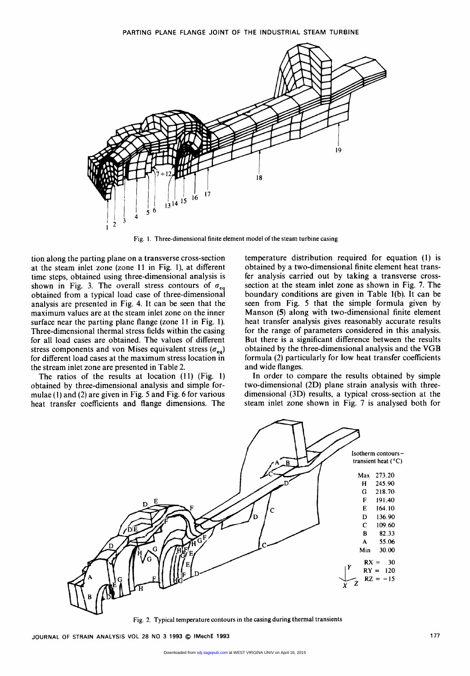

tion along the parting plane on a transverse cross-section at the steam inlet zone (zone **11** in Fig. l), at different time steps, obtained using three-dimensional analysis is shown in Fig. 3. The overall stress contours of  $\sigma_{eq}$ obtained from a typical load case of three-dimensional analysis are presented in Fig. **4.** It can be seen that the maximum values are at the steam inlet zone on the inner surface near the parting plane flange (zone 11 in Fig. **1).**  Three-dimensional thermal stress fields within the casing for all load cases are obtained. The values of different stress components and von Mises equivalent stress  $(\sigma_{eq})$ for different load cases at the maximum stress location in the stream inlet zone are presented in Table 2.

The ratios of the results at location (11) (Fig. 1) obtained by three-dimensional analysis and simple formulae **(1)** and (2) are given in Fig. 5 and Fig. 6 for various heat transfer coefficients and flange dimensions. The temperature distribution required for equation **(1)** is obtained by a two-dimensional finite element heat transfer analysis carried out by taking a transverse crosssection at the steam inlet zone as shown in Fig. 7. The boundary conditions are given in Table l(b). It can be seen from Fig. 5 that the simple formula given by Manson **(5)** along with two-dimensional finite element heat transfer analysis gives reasonably accurate results for the range of parameters considered in this analysis. But there is a significant difference between the results obtained by the three-dimensional analysis and the VGB formula (2) particularly for low heat transfer coefficients and wide flanges.

In order to compare the results obtained by simple two-dimensional (2D) plane strain analysis with threedimensional (3D) results, a typical cross-section at the steam inlet zone shown in Fig. 7 is analysed both for



**Fig. 2. Typical temperature contours in the casing during thermal transients** 

**JOURNAL OF STRAIN ANALYSIS VOL 28 NO 3 1993** @ **IMechE 1993 177**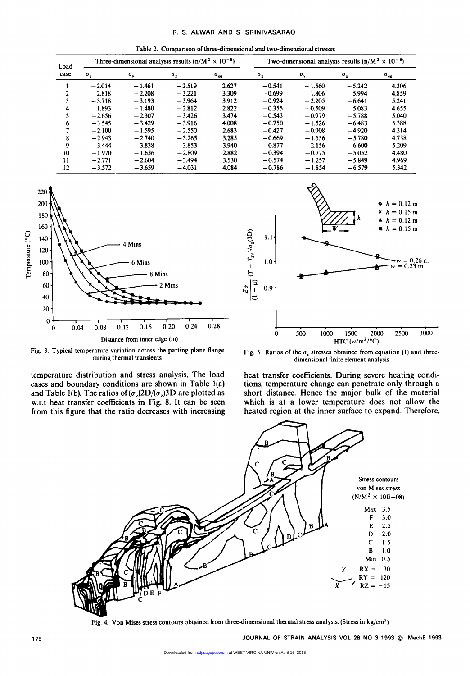Table 2. Comparison of three-dimensional and two-dimensional stresses

| R. S. ALWAR AND S. SRINIVASARAO                                         |                                                           |                       |  |
|-------------------------------------------------------------------------|-----------------------------------------------------------|-----------------------|--|
| Table 2. Comparison of three-dimensional and two-dimensional stresses   |                                                           |                       |  |
| Three-dimensional analysis results $(n/M^2 \times 10^{-8})$<br>$Load$ — | Two-dimensional analysis results $(n/M^2 \times 10^{-8})$ |                       |  |
| case $\sigma_x$                                                         |                                                           |                       |  |
| 2.627<br>- 1.461<br>$-2.208$                                            | $-0.541$<br>-0.69                                         | - 430                 |  |
| - 3.193                                                                 |                                                           |                       |  |
| $-2.307$<br>$-2.656$                                                    | $-0.543$                                                  |                       |  |
| 2.55<br>$-1.595$<br>2.687<br>$-2.100$<br>$-2.943$<br>$-3.444$           | $-0.90$<br>$-0.427$<br>$-0.66'$<br>$-0.87$<br>$-2.156$    | -43<br>$-4.7$<br>5.20 |  |
| - 1.970<br>- 1.636<br>$-3.49'$                                          |                                                           | 4.48<br>-496          |  |
| $-3.659$<br>$-4.031$<br>4.084<br>$-3.572$                               | $-1.854$<br>$-0.786$<br>$-6.579$                          | 5.342                 |  |



Fig. 3. Typical temperature variation across the parting plane flange during thermal transients

temperature distribution and stress analysis. The load cases and boundary conditions are shown in Table l(a) and Table 1(b). The ratios of  $(\sigma_z)2D/(\sigma_z)3D$  are plotted as w.r.t heat transfer coefficients in Fig. 8. It can be seen from this figure that the ratio decreases with increasing



Fig. 5. Ratios of the  $\sigma_z$  stresses obtained from equation (1) and threedimensional finite element analysis

heat transfer coefficients. During severe heating conditions, temperature change can penetrate only through a short distance. Hence the major bulk of the material which is at a lower temperature does not allow the heated region at the inner surface to expand. Therefore,



Fig. 4. Von Mises stress contours obtained from three-dimensional thermal stress analysis. (Stress in **kg/cm2)**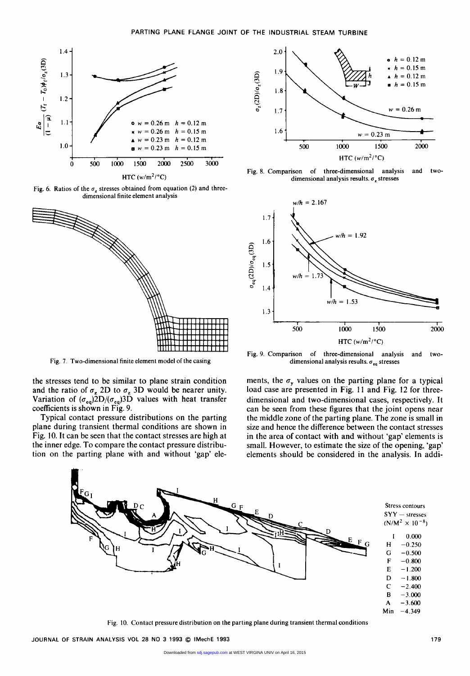

Fig. 6. Ratios of the  $\sigma_z$  stresses obtained from equation (2) and threedimensional finite element analysis



Fig. **7.** Two-dimensional finite element model of the casing

the stresses tend to be similar to plane strain condition and the ratio of  $\sigma_z$  2D to  $\sigma_z$  3D would be nearer unity. Variation of  $(\sigma_{eq})\bar{2}D/(\sigma_{eq})\bar{2}D$  values with heat transfer coefficients is shown in Fig. 9.

Typical contact pressure distributions on the parting plane during transient thermal conditions are shown in Fig. 10. It can be seen that the contact stresses are high at the inner edge. To compare the contact pressure distribution on the parting plane with and without 'gap' ele-



Fig. 8. Comparison of three-dimensional analysis and twodimensional analysis results.  $\sigma_z$  stresses



Fig. 9. Comparison of three-dimensional analysis and twodimensional analysis results.  $\sigma_{eq}$  stresses

ments, the  $\sigma_{v}$  values on the parting plane for a typical load case are presented in Fig. **11** and Fig. 12 for threedimensional and two-dimensional cases, respectively. It can be seen from these figures that the joint opens near the middle zone of the parting plane. The zone is small in size and hence the difference between the contact stresses in the area of contact with and without 'gap' elements is small. However, to estimate the size of the opening, 'gap' elements should be considered in the analysis. In addi-



Fig. 10. Contact pressure distribution on the parting plane during transient thermal conditions